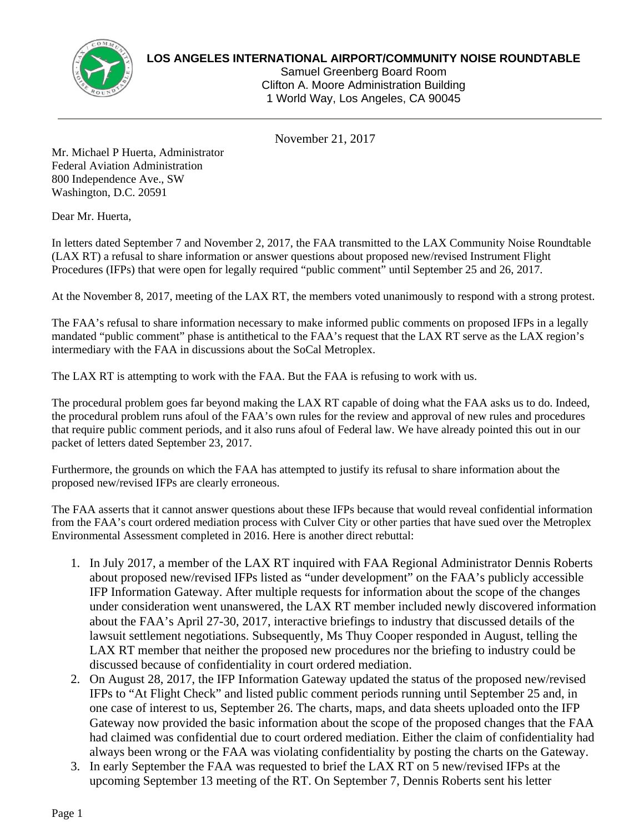

Samuel Greenberg Board Room Clifton A. Moore Administration Building 1 World Way, Los Angeles, CA 90045

November 21, 2017

Mr. Michael P Huerta, Administrator Federal Aviation Administration 800 Independence Ave., SW Washington, D.C. 20591

Dear Mr. Huerta,

In letters dated September 7 and November 2, 2017, the FAA transmitted to the LAX Community Noise Roundtable (LAX RT) a refusal to share information or answer questions about proposed new/revised Instrument Flight Procedures (IFPs) that were open for legally required "public comment" until September 25 and 26, 2017.

At the November 8, 2017, meeting of the LAX RT, the members voted unanimously to respond with a strong protest.

The FAA's refusal to share information necessary to make informed public comments on proposed IFPs in a legally mandated "public comment" phase is antithetical to the FAA's request that the LAX RT serve as the LAX region's intermediary with the FAA in discussions about the SoCal Metroplex.

The LAX RT is attempting to work with the FAA. But the FAA is refusing to work with us.

The procedural problem goes far beyond making the LAX RT capable of doing what the FAA asks us to do. Indeed, the procedural problem runs afoul of the FAA's own rules for the review and approval of new rules and procedures that require public comment periods, and it also runs afoul of Federal law. We have already pointed this out in our packet of letters dated September 23, 2017.

Furthermore, the grounds on which the FAA has attempted to justify its refusal to share information about the proposed new/revised IFPs are clearly erroneous.

The FAA asserts that it cannot answer questions about these IFPs because that would reveal confidential information from the FAA's court ordered mediation process with Culver City or other parties that have sued over the Metroplex Environmental Assessment completed in 2016. Here is another direct rebuttal:

- 1. In July 2017, a member of the LAX RT inquired with FAA Regional Administrator Dennis Roberts about proposed new/revised IFPs listed as "under development" on the FAA's publicly accessible IFP Information Gateway. After multiple requests for information about the scope of the changes under consideration went unanswered, the LAX RT member included newly discovered information about the FAA's April 27-30, 2017, interactive briefings to industry that discussed details of the lawsuit settlement negotiations. Subsequently, Ms Thuy Cooper responded in August, telling the LAX RT member that neither the proposed new procedures nor the briefing to industry could be discussed because of confidentiality in court ordered mediation.
- 2. On August 28, 2017, the IFP Information Gateway updated the status of the proposed new/revised IFPs to "At Flight Check" and listed public comment periods running until September 25 and, in one case of interest to us, September 26. The charts, maps, and data sheets uploaded onto the IFP Gateway now provided the basic information about the scope of the proposed changes that the FAA had claimed was confidential due to court ordered mediation. Either the claim of confidentiality had always been wrong or the FAA was violating confidentiality by posting the charts on the Gateway.
- 3. In early September the FAA was requested to brief the LAX RT on 5 new/revised IFPs at the upcoming September 13 meeting of the RT. On September 7, Dennis Roberts sent his letter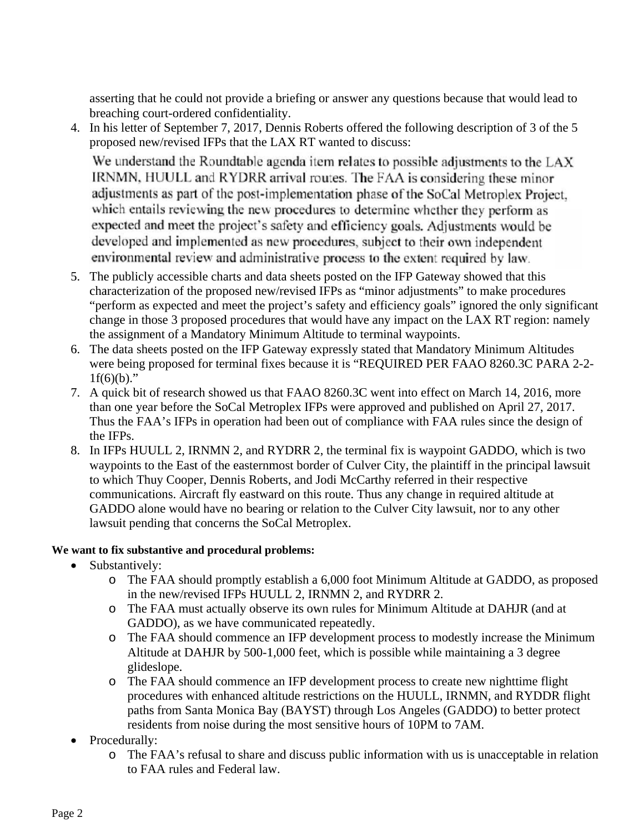asserting that he could not provide a briefing or answer any questions because that would lead to breaching court-ordered confidentiality.

- 4. In his letter of September 7, proposed new/revised IFPs that the LAX RT wanted to discuss: proposed new/revised IFPs that the LAX RT wanted to discuss:<br>We understand the Roundtable aggenda item relates to possible adjustments to the LAX<br>IRMM, HUULL and RYDRR arrival routes. The FAA is considering these minor<br>IRM asserting that evolula net of a Virida between the soles wanted when the following description of 3 of the 5 In his letter of September 7, 2017. Dennis Roberts offered the following description of 3 of the 5 proposed new/r asserting that he could not provide a briefing or answer any questions because that would lead<br>breaching court-ordered confidentiality.<br>In his letter of September 7, 2017, Dennis Roberts offered the following description o That he could not provide a high methanic control at a the of some of the Section of S of the Sectioners of the Section of Soft the Section of Soft (and a Form rules that and the from relates to possible adjustments to the ie could and provide a briefling or answer any questions because that would lead to<br>
c-t-ordered confidentiality.<br>
September 7, 2017, Demirs Roberts offreed the following description of 3 of the 5<br>
September 7, 2017, Demir he cond not provide a briefing or answer any questions because that would lea<br>
in-ordered confidentiality.<br>
Seprember 7, 2017, Dennis Roberts of fred the following description of 3 of the<br>
Seprember 7, 2017, Dennis Roberts be7, 2017, Dennis Roberts offered the following description of 3 of the 5<br>HPs that the LAX RT wanted to discuss:<br>Roundtable agenda item relates to possible adjustments to the LAX<br>nondrable agenda item relates to possible a provide a briefing or answer any questions because that would lead to<br>
ronfidentiality.<br>
7. 2017. Dennis Roberts offered the following description of 3 of the 58 that the LAX RT wanted to discuss:<br>
7. 2017. Dennis Roberts asserting that he could not provide a bridan in his letter of September 7, 2017. Demis Moberts offreed the following description corpopsed new/revised IFPs that the LAX RT wanted to discuss:<br>
We understand the Routlable ag asseming that he could not provide a briefing or answer any questions because that would lead to<br>hysicaling court-ordicated confidentiality.<br>The anity and the base step of the SN and the DAN RT wanted to discuss:<br>The propo riting that e could not provide a biefing or answer any questions because that would lead to<br>whing rout-ordered confidentiality. The NEW Members offered the following description of 3 of the 5<br>sosed new/revised IFPs that t of the median of 3.000 FA constraine of Society the following description of 3 of the 5 of energy to detastand the Roundlable agenda item relates to possible adjustments to the LAX N, HUULL and RYDRR arrival routes. The FA asseming that he could and romovide a brighting or answer any questions hoceause that would lead to Dails and the Interaction of 3 of the 5 his letter of Septendicts (2017, Deman Robestos of reed the following description in could not provide a bit film accessible following description of 3 of the 5 iSeptember 7, 2017, Demain Roherds of reached the following description of 3 of the 5 iSeptember 7, 2017, Demain Roherds itern editates to pros ol provide a briefing or answer any questions because that would lead to<br>to convide a briefing or answer any questions because that would lead to<br>17.7, 2017, Demis Roberts offered the following description of 3 of the 5<br>RV In his letter of September 7, 2017. Demis klobents of restricted the following description of 3 of<br>the proposed new/revised IFPs that the LAX RT wanted to discuss:<br>the considering these minimizations commence of the SOCal asseming that he could not provide a hirefng or answer any questions because that would lead to<br>heaching contradient confidentiality,<br>the second proposed new hevised IPs that the LAX RT wanted to this<br>second proposed new h istenber 7, 2017. Dennis Roberts offered the following description of 3 of the 5<br>is sisted IFPs that the LAX RT wanted to discuss:<br>the Roundtable agenda item relates to possible adjustments to the LAX<br>L-L and RYDRR arrival
- 5. The publicly accessible charts and data sheets posted on the IFP Gateway showed that this characterization of the proposed new/revised IFPs as "minor adjustments" to make procedures procedures "perform as expected and meet the project's safety and efficiency goals" ignore change in those 3 proposed procedures that would have any impact on the LAX RT region: namely the assignment of a Mandatory Minimum Altitude to terminal waypoints. proposed new/revised IFPs as "minor adjustments" to make procedures<br>nd meet the project's safety and efficiency goals" ignored the only significa<br>osed procedures that would have any impact on the LAX RT region: namely
- 6. The data sheets posted on the IFP Gateway expressly stated that were being proposed for terminal fixes because it is "REQUIRED PER FAAO 8260.3C PARA 2  $1f(6)(b)$ ." I and meet the project's safety and efficiency goals" ignored the only signific<br>posed procedures that would have any impact on the LAX RT region: namel<br>*Aandatory Minimum Altitude to terminal waypoints.*<br>d on the IFP Gatew The data sheets posted on the IFP Gateway expressly stated that Mandatory Minimum Altitudes<br>were being proposed for terminal fixes because it is "REQUIRED PER FAAO 8260.3C PARA 2<br>1f(6)(b)."<br>A quick bit of research showed u have any impact on the LAX RT region: namely<br>to terminal waypoints.<br>sly stated that Mandatory Minimum Altitudes<br>is "REQUIRED PER FAAO 8260.3C PARA 2-2
- 7. A quick bit of research showed us that FAAO 8260.3C went into effect on March 14, 2016, more than one year before the SoCal Metroplex IFPs were approved and published on April 27, 2017. Thus the FAA's IFPs in operation had been out of compliance with FAA rules since the design of the IFPs. In the IFP Gateway expressly stated that Mandatory Minii<br>terminal fixes because it is "REQUIRED PER FAAO 82<br>howed us that FAAO 8260.3C went into effect on March<br>SoCal Metroplex IFPs were approved and published on a<br>operati ures that would have any impact on the LAX<br>nimum Altitude to terminal waypoints.<br>Gateway expressly stated that Mandatory M<br>ixes because it is "REQUIRED PER FAAO<br>that FAAO 8260.3C went into effect on Ma<br>troplex IFPs were ap
- 8. In IFPs HUULL 2, IRNMN 2, and RYDRR 2, the terminal fix is waypoint GADDO, which is two way points to the East of the easternmost border of Culver City, the plaintiff in the principal lawsuit to which Thuy Cooper, Dennis Roberts, and Jodi McCarthy referred in their respective communications. Aircraft fly eastward on this route. Thus any change in required altitude at to which Thuy Cooper, Dennis Roberts, and Jodi McCarthy referred in their respective<br>communications. Aircraft fly eastward on this route. Thus any change in required altitude at<br>GADDO alone would have no bearing or relatio lawsuit pending that concerns the SoCal Metroplex. ick bit of research showed us that FAAO 8260.3C went into effect on March 14, 2016, more<br>one year before the SoCal Metroplex IFPs were approved and published on April 27, 2017.<br>IFPs.<br>free FAA's IFPs in operation had been o bicly accessible charts and data sheets posted on the IFP Gateway showed that this<br>erizzation of the proposed new/revised IPPs as "minor adjustments" to make procedures<br>mas expected and meet the project's safety and effici d on the IFP Gateway expressly stated that Mandatory Minimum Altitudes<br>for terminal fixes because it is "REQUIRED PER FAAO 8260.3C PARA 2-2-<br>th showed us that FAAO 8260.3C went into effect on March 14, 2016, more<br>the Socia Thus the FAA's IFPs in operation had been out of compliance with FAA rules since the des<br>the IFPs.<br>In IFPs HUULL 2, IRNMN 2, and RYDRR 2, the terminal fix is waypoint GADDO, which<br>waypoints to the East of the easternmost b The publicly accessible chara and data sheets possed on the IFP Gateway showed that the proposed recrime in the inference youls" ignored the preformal severated and meet the project's safety and efficiency goals" ignored NMN 2, and RYDRR 2, the terminal fix is waypoint GADDO, which is two<br>of the easternmost border of Culver City, the plaintiff in the principal lawsuit<br>r, Dennis Roberts, and Jodi McCarthy referred in their respective<br>raft f oCal Metroplex IFPs were approved and published on April 27, 2017.<br>
beration had been out of compliance with FAA rules since the design of<br>
N 2, and RYDRR 2, the terminal fix is waypoint GADDO, which is two<br>
e easternmost IFPs in operation had been out of compliance with FAA rules since the design of<br>2, IRNMN 2, and RYDRR 2, the terminal fix is waypoint GADDO, which is two<br>East of the easternmost border of Culver City, the plaintiff in the operation for terminal fixes because it is "REQUIRED PER FAAO 8260.3C PARA 2-2-<br>search showed us that FAAO 8260.3C went into effect on March 14, 2016, more<br>fore the SoCal Metroplex IFPs were approved and published on April ed and meet the project's safety and efficiency goals" ignored the only significant monosed procedures that would have any impact on the LAX RT region: namely Momandory Minimum Altitude to terminal waypoints.<br>
Mandatory Mi

## **We want to fix substantive and procedural problems: We**

- $\bullet$  Substantively:
	- o The FAA should promptly establish a 6,000 foot Minimum Altitude at GADDO, as proposed
	- o The FAA must actually observe its own rules for Minimum Altitude at DAHJR (and at in the new/revised IFPs HUULL 2, IRNMN 2, and RYDRR 2.<br>  $\circ$  The FAA must actually observe its own rules for Minimum Altitude at DAHJR (and at GADDO), as we have communicated repeatedly.<br>  $\circ$  The FAA should commence an IF in the new/revised IFPs HUULL 2, IRNMN 2, and RYDRR 2.<br>The FAA must actually observe its own rules for Minimum Altitud<br>GADDO), as we have communicated repeatedly. GADDO), as we have communicated repeatedly.
	- The FAA should commence an IFP development process to modestly increase the Mi<br>Altitude at DAHJR by 500-1,000 feet, which is possible while maintaining a 3 degree glideslope.
	- o The FAA should commence an IFP development process to create new nighttime flight The FAA should commence an IFP development process to create new nighttime flight<br>procedures with enhanced altitude restrictions on the HUULL, IRNMN, and RYDDR flight<br>paths from Santa Monica Bay (BAYST) through Los Angeles The FAA should commence an IFP development process to create new nighttime flight<br>procedures with enhanced altitude restrictions on the HUULL, IRNMN, and RYDDR flight<br>paths from Santa Monica Bay (BAYST) through Los Angeles paths from Santa Monica Bay (BAYST) through Los Angeles (GADDO) to better protect residents from noise during the most sensitive hours of 10PM to 7AM.
- Procedurally:
	- to FAA rules and Federal law.